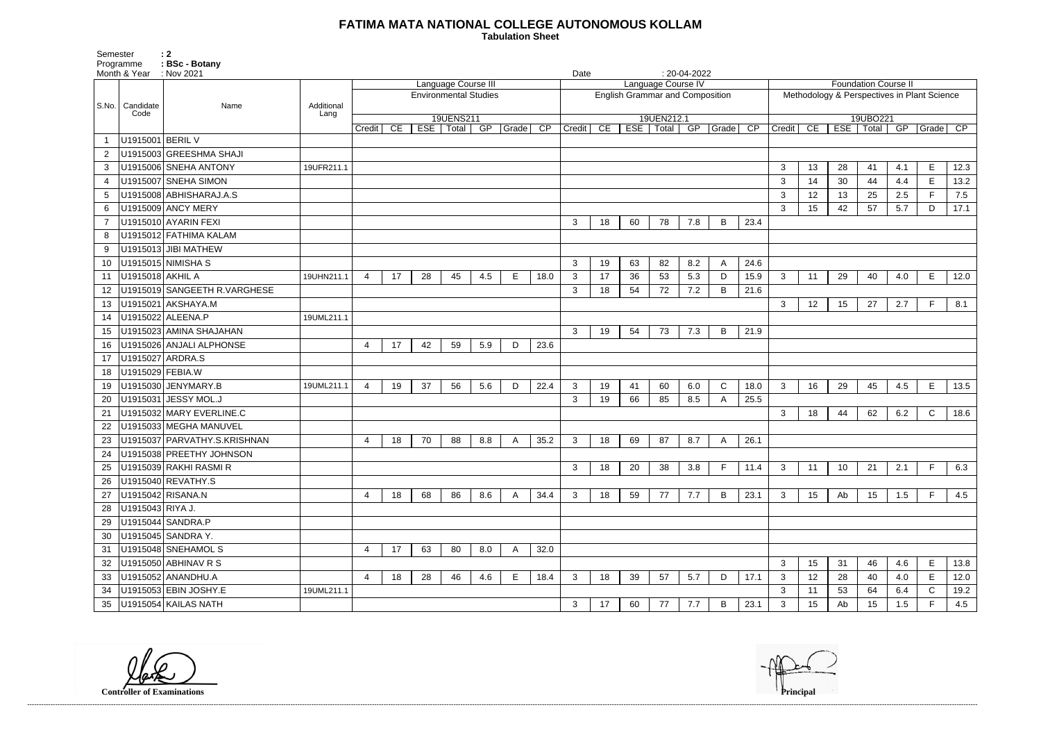## **FATIMA MATA NATIONAL COLLEGE AUTONOMOUS KOLLAM**

 **Tabulation Sheet** 

| <b>Foundation Course II</b>                 |                                                                       |    |    |     |   |         |  |  |  |  |  |  |  |  |  |
|---------------------------------------------|-----------------------------------------------------------------------|----|----|-----|---|---------|--|--|--|--|--|--|--|--|--|
| Methodology & Perspectives in Plant Science |                                                                       |    |    |     |   |         |  |  |  |  |  |  |  |  |  |
| 19UBO221                                    |                                                                       |    |    |     |   |         |  |  |  |  |  |  |  |  |  |
|                                             | CE<br>Credit<br>GP<br>$\overline{\text{CP}}$<br>ESE<br>Total<br>Grade |    |    |     |   |         |  |  |  |  |  |  |  |  |  |
|                                             |                                                                       |    |    |     |   |         |  |  |  |  |  |  |  |  |  |
|                                             |                                                                       |    |    |     |   |         |  |  |  |  |  |  |  |  |  |
| 3                                           | 13                                                                    | 28 | 41 | 4.1 | Е | 12.3    |  |  |  |  |  |  |  |  |  |
| 3                                           | 14                                                                    | 30 | 44 | 4.4 | Е | 13.2    |  |  |  |  |  |  |  |  |  |
| 3                                           | 12                                                                    | 13 | 25 | 2.5 | F | $7.5\,$ |  |  |  |  |  |  |  |  |  |
| 3                                           | 15                                                                    | 42 | 57 | 5.7 | D | 17.1    |  |  |  |  |  |  |  |  |  |
|                                             |                                                                       |    |    |     |   |         |  |  |  |  |  |  |  |  |  |
|                                             |                                                                       |    |    |     |   |         |  |  |  |  |  |  |  |  |  |
|                                             |                                                                       |    |    |     |   |         |  |  |  |  |  |  |  |  |  |
|                                             |                                                                       |    |    |     |   |         |  |  |  |  |  |  |  |  |  |
|                                             |                                                                       |    |    |     |   |         |  |  |  |  |  |  |  |  |  |
| 3                                           | 11                                                                    | 29 | 40 | 4.0 | Ε | 12.0    |  |  |  |  |  |  |  |  |  |
|                                             |                                                                       |    |    |     |   |         |  |  |  |  |  |  |  |  |  |
| 3                                           | 12                                                                    | 15 | 27 | 2.7 | F | 8.1     |  |  |  |  |  |  |  |  |  |
|                                             |                                                                       |    |    |     |   |         |  |  |  |  |  |  |  |  |  |
|                                             |                                                                       |    |    |     |   |         |  |  |  |  |  |  |  |  |  |
|                                             |                                                                       |    |    |     |   |         |  |  |  |  |  |  |  |  |  |
|                                             |                                                                       |    |    |     |   |         |  |  |  |  |  |  |  |  |  |
|                                             |                                                                       |    |    |     |   |         |  |  |  |  |  |  |  |  |  |
| 3                                           | 16                                                                    | 29 | 45 | 4.5 | E | 13.5    |  |  |  |  |  |  |  |  |  |
|                                             |                                                                       |    |    |     |   |         |  |  |  |  |  |  |  |  |  |
| 3                                           | 18                                                                    | 44 | 62 | 6.2 | C | 18.6    |  |  |  |  |  |  |  |  |  |
|                                             |                                                                       |    |    |     |   |         |  |  |  |  |  |  |  |  |  |
|                                             |                                                                       |    |    |     |   |         |  |  |  |  |  |  |  |  |  |
|                                             |                                                                       |    |    |     |   |         |  |  |  |  |  |  |  |  |  |
| 3                                           | 11                                                                    | 10 | 21 | 2.1 | F | 6.3     |  |  |  |  |  |  |  |  |  |
|                                             |                                                                       |    |    |     |   |         |  |  |  |  |  |  |  |  |  |
| 3                                           | 15                                                                    | Ab | 15 | 1.5 | F | 4.5     |  |  |  |  |  |  |  |  |  |
|                                             |                                                                       |    |    |     |   |         |  |  |  |  |  |  |  |  |  |
|                                             |                                                                       |    |    |     |   |         |  |  |  |  |  |  |  |  |  |
|                                             |                                                                       |    |    |     |   |         |  |  |  |  |  |  |  |  |  |
|                                             |                                                                       |    |    |     |   |         |  |  |  |  |  |  |  |  |  |
| 3                                           | 15                                                                    | 31 | 46 | 4.6 | E | 13.8    |  |  |  |  |  |  |  |  |  |
| 3                                           | 12                                                                    | 28 | 40 | 4.0 | E | 12.0    |  |  |  |  |  |  |  |  |  |
| 3                                           | 11                                                                    | 53 |    |     | С |         |  |  |  |  |  |  |  |  |  |
|                                             |                                                                       |    | 64 | 6.4 |   | 19.2    |  |  |  |  |  |  |  |  |  |
| 3                                           | 15                                                                    | Ab | 15 | 1.5 | F | 4.5     |  |  |  |  |  |  |  |  |  |

Programme : BSc - Botanv Month & Year : Nov 2021 **Date : 20-04-2022 Date : 20-04-2022** S.No. Candidate Code Name **Additional Lang** Language Course III Environmental Studies 19UENS211 Credit | CE | ESE | Total | GP | Grade | CP | Credit | CE | ESE | Total | GP | Grade | CP Language Course IV English Grammar and Composition 19UEN212.1 1 U1915001 BERIL V 2 U1915003 GREESHMA SHAJI 3 U1915006 SNEHA ANTONY 19UFR211.1 3 4 U1915007 SNEHA SIMON 3 5 U1915008 ABHISHARAJ.A.S 3 6 U1915009 ANCY MERY 3 15 42 57 5.7 D 17.1 7 U1915010 AYARIN FEXI 3 18 60 78 7.8 B 23.4 8 U1915012 FATHIMA KALAM 9 U1915013 JIBI MATHEW 10 U1915015 NIMISHA S 3 19 63 82 8.2 A 24.6 11 |U1915018|AKHIL A |19UHN211.1| 4 | 17 | 28 | 45 | 4.5 | E | 18.0 | 3 | 17 | 36 | 53 | 5.3 | D | 15.9 | 3 | 11 | 29 | 40 | 4.0 | E | 12.0 12 U1915019 SANGEETH R.VARGHESE 3 18 54 72 7.2 B 21.6 13 U1915021 AKSHAYA.M 3 12 15 27 2.7 F 8.1 14 | U1915022 | ALEENA.P | 19UML211.1 15 U1915023 AMINA SHAJAHAN 3 19 54 73 7.3 B 21.9 16 U1915026 ANJALI ALPHONSE 4 17 42 59 5.9 D 23.6 17 | U1915027 | ARDRA.S 18 U1915029 FEBIA.W 19 |U1915030 |JENYMARY.B | 19UML211.1 4 | 19 | 37 | 56 | 5.6 | D | 22.4 | 3 | 19 | 41 | 60 | 6.0 | C | 18.0 | 3 20 U1915031 JESSY MOL.J 3 19 66 85 8.5 A 25.5 21 U1915032 MARY EVERLINE.C 20 21 3 22 U1915033 MEGHA MANUVEL 23 |U1915037 | PARVATHY.S.KRISHNAN | | | 4 | 18 | 70 | 88 | 8.8 | A | 35.2 | 3 | 18 | 69 | 87 | 8.7 | A | 26.1 24 | U1915038 PREETHY JOHNSON 25 U1915039 RAKHI RASMI R 3 18 20 38 3.8 F 11.4 3 11 10 21 2.1 F 6.3 26 U1915040 REVATHY.S 27 |U1915042|RISANA.N | | 4 | 18 | 68 | 86 | 8.6 | A | 34.4 | 3 | 78 | 77 | 7.7 | B | 23.1 | 3 | 15 | Ab | 15 | 1.5 | F | 4.5 28 U1915043 RIYA J. 29 U1915044 SANDRA.P 30 U1915045 SANDRA Y. 31 U1915048 SNEHAMOL S 4 17 63 80 8.0 A 32.0 32 U1915050 ABHINAV R S 3 15 31 46 4.6 E 13.8 33 U1915052 ANANDHU.A 4 | 18 | 28 | 46 | 4.6 | E | 18.4 | 3 | 18 | 39 | 57 | 5.7 | D |17.1 | 3 34 U1915053 EBIN JOSHY.E 19UML211.1 3 35 U1915054 KAILAS NATH 3 17 60 77 7.7 B 23.1 3 15 Ab 15 1.5 F 4.5

------------------------------------------------------------------------------------------------------------------------------------------------------------------------------------------------------------------------------------------------------------------------------------------------------------------------------------------------------------------------------------------------------------------------

**Controller of Examinations** 

Semester : 2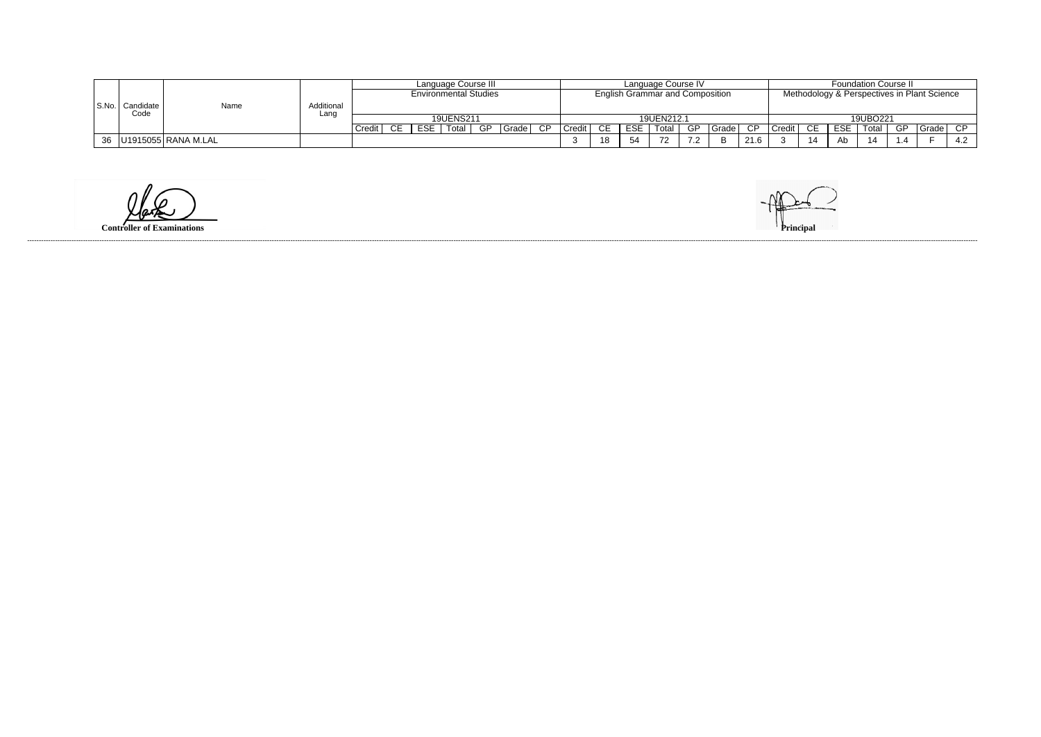|    |                             |      |            | Language Course III          |                  |       |    |       |                                        | Language Course IV |     |            |       |                |                                             |          | <b>Foundation Course II</b> |    |     |       |    |       |     |
|----|-----------------------------|------|------------|------------------------------|------------------|-------|----|-------|----------------------------------------|--------------------|-----|------------|-------|----------------|---------------------------------------------|----------|-----------------------------|----|-----|-------|----|-------|-----|
|    |                             |      |            | <b>Environmental Studies</b> |                  |       |    |       | <b>English Grammar and Composition</b> |                    |     |            |       |                | Methodology & Perspectives in Plant Science |          |                             |    |     |       |    |       |     |
|    | S.No.   Candidate  <br>Code | Name | Additional |                              |                  |       |    |       |                                        |                    |     |            |       |                |                                             |          |                             |    |     |       |    |       |     |
|    |                             |      |            | Lanc                         | <b>19UENS211</b> |       |    |       |                                        | 19UEN212.1         |     |            |       |                |                                             | 19UBO221 |                             |    |     |       |    |       |     |
|    |                             |      |            | Credi                        | <b>ESE</b>       | Total | GP | Grade | <b>CP</b>                              | Credit             | CE. | <b>ESE</b> | Total | GP             | Grade l                                     | CP       | Credit                      |    | ESE | Total | GP | Grade | CP. |
| 36 | U1915055 RANA M.LAL         |      |            |                              |                  |       |    |       |                                        |                    | -18 | 54         | 72    | $\overline{z}$ | D                                           | 21.6     |                             | 14 | Ab  | -14   |    |       | 4.2 |

**Controller of Examinations**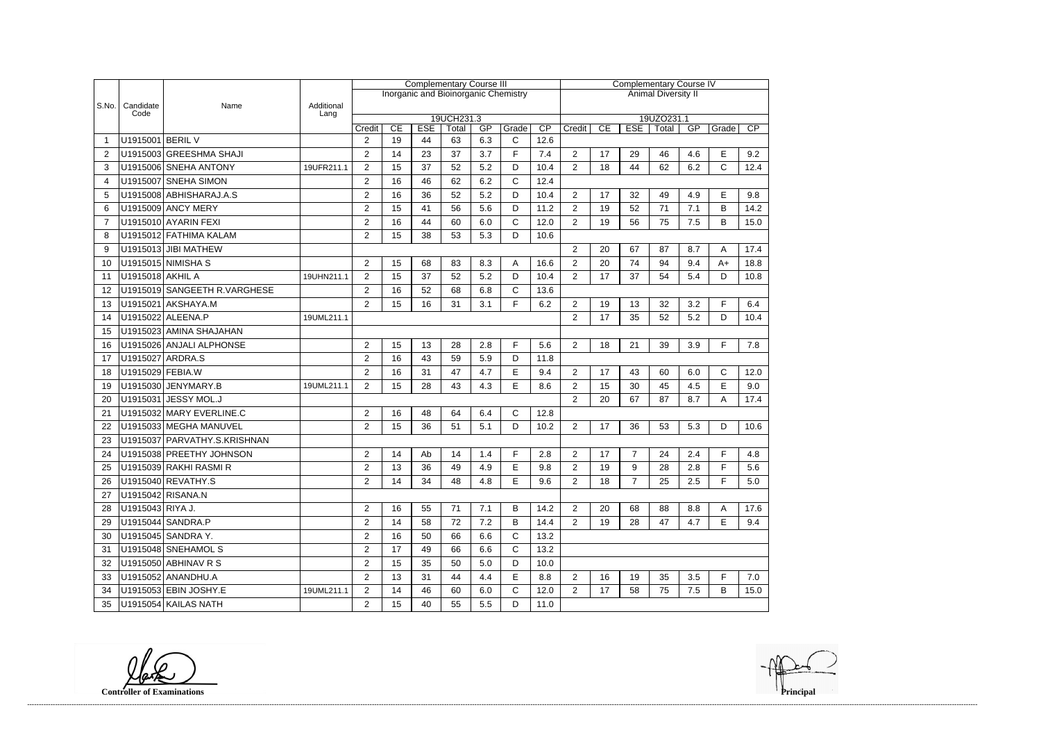|                |                   |                               |                    | <b>Complementary Course III</b>                                        |    |    |                                      |     |              |      |                            | <b>Complementary Course IV</b>                               |                |    |     |              |      |  |  |
|----------------|-------------------|-------------------------------|--------------------|------------------------------------------------------------------------|----|----|--------------------------------------|-----|--------------|------|----------------------------|--------------------------------------------------------------|----------------|----|-----|--------------|------|--|--|
|                |                   |                               |                    |                                                                        |    |    | Inorganic and Bioinorganic Chemistry |     |              |      | <b>Animal Diversity II</b> |                                                              |                |    |     |              |      |  |  |
| S.No.          | Candidate<br>Code | Name                          | Additional<br>Lang |                                                                        |    |    |                                      |     |              |      |                            |                                                              |                |    |     |              |      |  |  |
|                |                   |                               |                    | 19UCH231.3<br>CP<br>CE<br><b>ESE</b><br>GP<br>Grade<br>Total<br>Credit |    |    |                                      |     |              |      |                            | 19UZO231.1<br>CP<br>CE<br><b>ESE</b><br>GP<br>Total<br>Grade |                |    |     |              |      |  |  |
|                | U1915001 BERIL V  |                               |                    | $\overline{2}$                                                         | 19 | 44 | 63                                   | 6.3 | $\mathsf{C}$ | 12.6 | Credit                     |                                                              |                |    |     |              |      |  |  |
| $\overline{2}$ |                   | U1915003 GREESHMA SHAJI       |                    | $\overline{2}$                                                         | 14 | 23 | 37                                   | 3.7 | F            | 7.4  | $\overline{2}$             | 17                                                           | 29             | 46 | 4.6 | Е            | 9.2  |  |  |
| 3              |                   | U1915006 SNEHA ANTONY         | 19UFR211.1         | $\overline{c}$                                                         | 15 | 37 | 52                                   | 5.2 | D            | 10.4 | $\overline{2}$             | 18                                                           | 44             | 62 | 6.2 | C            | 12.4 |  |  |
| $\overline{4}$ |                   | U1915007 SNEHA SIMON          |                    | $\overline{2}$                                                         | 16 | 46 | 62                                   | 6.2 | $\mathsf{C}$ | 12.4 |                            |                                                              |                |    |     |              |      |  |  |
| 5              |                   | U1915008 ABHISHARAJ.A.S       |                    | 2                                                                      | 16 | 36 | 52                                   | 5.2 | D            | 10.4 | $\overline{2}$             | 17                                                           | 32             | 49 | 4.9 | E            | 9.8  |  |  |
| 6              |                   | U1915009 ANCY MERY            |                    | $\overline{2}$                                                         | 15 | 41 | 56                                   | 5.6 | D            | 11.2 | $\overline{2}$             | 19                                                           | 52             | 71 | 7.1 | B            | 14.2 |  |  |
| $\overline{7}$ |                   | U1915010 AYARIN FEXI          |                    | $\overline{2}$                                                         | 16 | 44 | 60                                   | 6.0 | $\mathsf{C}$ | 12.0 | $\overline{2}$             | 19                                                           | 56             | 75 | 7.5 | B            | 15.0 |  |  |
| 8              |                   | U1915012 FATHIMA KALAM        |                    | 2                                                                      | 15 | 38 | 53                                   | 5.3 | D            | 10.6 |                            |                                                              |                |    |     |              |      |  |  |
| 9              |                   | U1915013 JIBI MATHEW          |                    |                                                                        |    |    |                                      |     |              |      | $\overline{2}$             | 20                                                           | 67             | 87 | 8.7 | Α            | 17.4 |  |  |
| 10             |                   | U1915015 NIMISHA S            |                    | $\overline{2}$                                                         | 15 | 68 | 83                                   | 8.3 | A            | 16.6 | $\overline{2}$             | 20                                                           | 74             | 94 | 9.4 | $A+$         | 18.8 |  |  |
| 11             | U1915018 AKHIL A  |                               | 19UHN211.1         | $\overline{2}$                                                         | 15 | 37 | 52                                   | 5.2 | D            | 10.4 | $\overline{2}$             | 17                                                           | 37             | 54 | 5.4 | D            | 10.8 |  |  |
| 12             |                   | U1915019 SANGEETH R. VARGHESE |                    | $\overline{2}$                                                         | 16 | 52 | 68                                   | 6.8 | $\mathsf{C}$ | 13.6 |                            |                                                              |                |    |     |              |      |  |  |
| 13             |                   | U1915021 AKSHAYA.M            |                    | 2                                                                      | 15 | 16 | 31                                   | 3.1 | F            | 6.2  | $\overline{2}$             | 19                                                           | 13             | 32 | 3.2 | F            | 6.4  |  |  |
| 14             |                   | U1915022 ALEENA.P             | 19UML211.1         |                                                                        |    |    |                                      |     |              |      | $\overline{2}$             | 17                                                           | 35             | 52 | 5.2 | D            | 10.4 |  |  |
| 15             |                   | U1915023 AMINA SHAJAHAN       |                    |                                                                        |    |    |                                      |     |              |      |                            |                                                              |                |    |     |              |      |  |  |
| 16             |                   | U1915026 ANJALI ALPHONSE      |                    | $\overline{2}$                                                         | 15 | 13 | 28                                   | 2.8 | F            | 5.6  | $\overline{2}$             | 18                                                           | 21             | 39 | 3.9 | F            | 7.8  |  |  |
| 17             | U1915027 ARDRA.S  |                               |                    | $\overline{2}$                                                         | 16 | 43 | 59                                   | 5.9 | D            | 11.8 |                            |                                                              |                |    |     |              |      |  |  |
| 18             | U1915029 FEBIA.W  |                               |                    | 2                                                                      | 16 | 31 | 47                                   | 4.7 | E            | 9.4  | $\overline{2}$             | 17                                                           | 43             | 60 | 6.0 | $\mathsf{C}$ | 12.0 |  |  |
| 19             |                   | U1915030 JENYMARY.B           | 19UML211.1         | $\overline{2}$                                                         | 15 | 28 | 43                                   | 4.3 | E            | 8.6  | $\overline{2}$             | 15                                                           | 30             | 45 | 4.5 | E            | 9.0  |  |  |
| 20             |                   | U1915031 JESSY MOL.J          |                    |                                                                        |    |    |                                      |     |              |      | $\overline{2}$             | 20                                                           | 67             | 87 | 8.7 | A            | 17.4 |  |  |
| 21             |                   | U1915032 MARY EVERLINE.C      |                    | $\overline{2}$                                                         | 16 | 48 | 64                                   | 6.4 | $\mathsf{C}$ | 12.8 |                            |                                                              |                |    |     |              |      |  |  |
| 22             |                   | U1915033 MEGHA MANUVEL        |                    | $\overline{2}$                                                         | 15 | 36 | 51                                   | 5.1 | D            | 10.2 | $\overline{2}$             | 17                                                           | 36             | 53 | 5.3 | D            | 10.6 |  |  |
| 23             |                   | U1915037 PARVATHY.S.KRISHNAN  |                    |                                                                        |    |    |                                      |     |              |      |                            |                                                              |                |    |     |              |      |  |  |
| 24             |                   | U1915038 PREETHY JOHNSON      |                    | 2                                                                      | 14 | Ab | 14                                   | 1.4 | F            | 2.8  | $\overline{2}$             | 17                                                           | $\overline{7}$ | 24 | 2.4 | F            | 4.8  |  |  |
| 25             |                   | U1915039 RAKHI RASMI R        |                    | $\mathcal{P}$                                                          | 13 | 36 | 49                                   | 4.9 | E            | 9.8  | $\overline{2}$             | 19                                                           | 9              | 28 | 2.8 | F            | 5.6  |  |  |
| 26             |                   | U1915040 REVATHY.S            |                    | $\overline{2}$                                                         | 14 | 34 | 48                                   | 4.8 | E            | 9.6  | $\overline{2}$             | 18                                                           | $\overline{7}$ | 25 | 2.5 | F            | 5.0  |  |  |
| 27             |                   | U1915042 RISANA.N             |                    |                                                                        |    |    |                                      |     |              |      |                            |                                                              |                |    |     |              |      |  |  |
| 28             | U1915043 RIYA J.  |                               |                    | $\overline{2}$                                                         | 16 | 55 | 71                                   | 7.1 | B            | 14.2 | $\overline{2}$             | 20                                                           | 68             | 88 | 8.8 | A            | 17.6 |  |  |
| 29             |                   | U1915044 SANDRA.P             |                    | 2                                                                      | 14 | 58 | 72                                   | 7.2 | B            | 14.4 | $\overline{2}$             | 19                                                           | 28             | 47 | 4.7 | E            | 9.4  |  |  |
| 30             |                   | U1915045 SANDRA Y.            |                    | $\overline{c}$                                                         | 16 | 50 | 66                                   | 6.6 | $\mathsf{C}$ | 13.2 |                            |                                                              |                |    |     |              |      |  |  |
| 31             |                   | U1915048 SNEHAMOL S           |                    | $\overline{2}$                                                         | 17 | 49 | 66                                   | 6.6 | $\mathsf C$  | 13.2 |                            |                                                              |                |    |     |              |      |  |  |
| 32             |                   | U1915050 ABHINAV R S          |                    | $\overline{2}$                                                         | 15 | 35 | 50                                   | 5.0 | D            | 10.0 |                            |                                                              |                |    |     |              |      |  |  |
| 33             |                   | U1915052 ANANDHU.A            |                    | 2                                                                      | 13 | 31 | 44                                   | 4.4 | E            | 8.8  | $\overline{2}$             | 16                                                           | 19             | 35 | 3.5 | F            | 7.0  |  |  |
| 34             |                   | U1915053 EBIN JOSHY.E         | 19UML211.1         | $\overline{2}$                                                         | 14 | 46 | 60                                   | 6.0 | $\mathsf{C}$ | 12.0 | $\overline{2}$             | 17                                                           | 58             | 75 | 7.5 | B            | 15.0 |  |  |
| 35             |                   | U1915054 KAILAS NATH          |                    | $\overline{c}$                                                         | 15 | 40 | 55                                   | 5.5 | D            | 11.0 |                            |                                                              |                |    |     |              |      |  |  |

**Controller of Examinations Principal**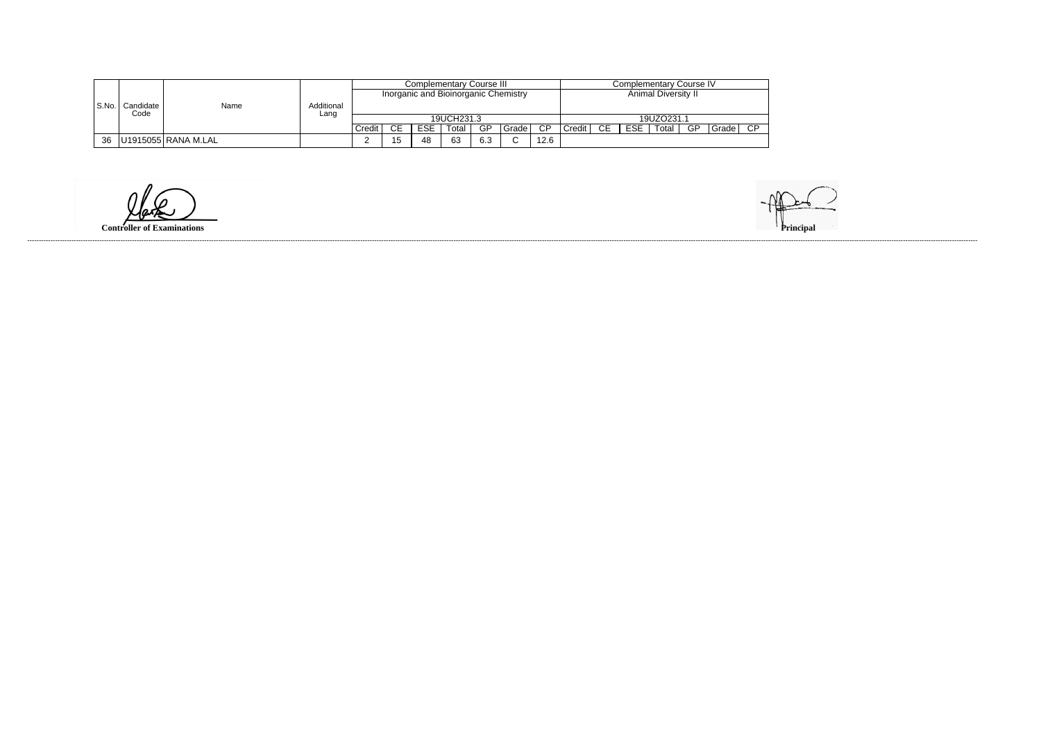|       |                   |                     |            |                                      |           |            | Complementary Course III |     |        | Complementary Course IV |        |                            |            |            |    |       |        |  |
|-------|-------------------|---------------------|------------|--------------------------------------|-----------|------------|--------------------------|-----|--------|-------------------------|--------|----------------------------|------------|------------|----|-------|--------|--|
|       |                   |                     |            | Inorganic and Bioinorganic Chemistry |           |            |                          |     |        |                         |        | <b>Animal Diversity II</b> |            |            |    |       |        |  |
| S.No. | Candidate<br>Code | Name                | Additional |                                      |           |            |                          |     |        |                         |        |                            |            |            |    |       |        |  |
|       |                   |                     | Lang       |                                      |           |            | 19UCH231.3               |     |        |                         |        |                            |            | 19UZO231.1 |    |       |        |  |
|       |                   |                     |            | Credit                               | <b>CE</b> | <b>ESE</b> | Total                    | GP  | Grade  | CP                      | Credit | CE                         | <b>ESE</b> | Total,     | GP | Grade | $\cap$ |  |
| 36    |                   | U1915055 RANA M.LAL |            |                                      | 15        | 48         | 63                       | 6.3 | $\sim$ | 12.6                    |        |                            |            |            |    |       |        |  |

**Controller of Examinations**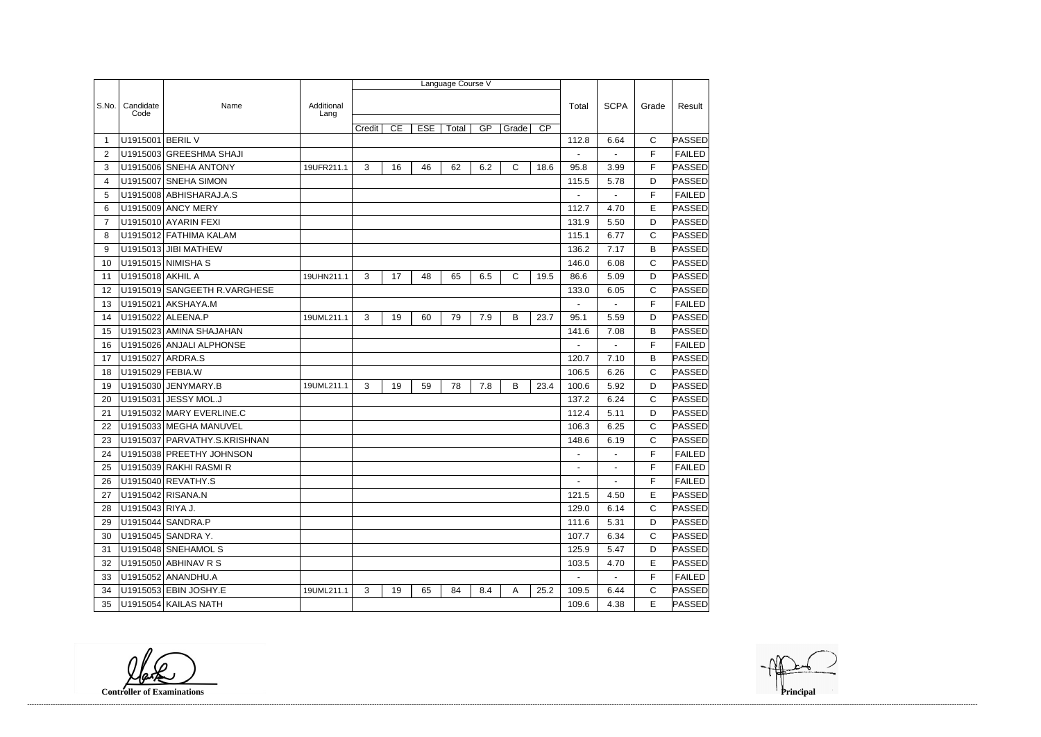|                |                   |                               |                    |        |    |            | Language Course V |     |       |                 |                |                          |              |               |
|----------------|-------------------|-------------------------------|--------------------|--------|----|------------|-------------------|-----|-------|-----------------|----------------|--------------------------|--------------|---------------|
|                |                   |                               |                    |        |    |            |                   |     |       |                 |                |                          |              |               |
| S.No.          | Candidate<br>Code | Name                          | Additional<br>Lang |        |    |            |                   |     |       |                 | Total          | <b>SCPA</b>              | Grade        | Result        |
|                |                   |                               |                    | Credit | CE | <b>ESE</b> | Total             | GP  | Grade | $\overline{CP}$ |                |                          |              |               |
| -1             | U1915001 BERIL V  |                               |                    |        |    |            |                   |     |       |                 | 112.8          | 6.64                     | C            | PASSED        |
| 2              |                   | U1915003 GREESHMA SHAJI       |                    |        |    |            |                   |     |       |                 | $\blacksquare$ | $\overline{\phantom{0}}$ | F            | <b>FAILED</b> |
| 3              |                   | U1915006 SNEHA ANTONY         | 19UFR211.1         | 3      | 16 | 46         | 62                | 6.2 | C     | 18.6            | 95.8           | 3.99                     | F            | PASSED        |
| 4              | U1915007          | <b>SNEHA SIMON</b>            |                    |        |    |            |                   |     |       |                 | 115.5          | 5.78                     | D            | PASSED        |
| 5              |                   | U1915008 ABHISHARAJ.A.S       |                    |        |    |            |                   |     |       |                 | $\blacksquare$ |                          | F            | <b>FAILED</b> |
| 6              |                   | U1915009 ANCY MERY            |                    |        |    |            |                   |     |       |                 | 112.7          | 4.70                     | E            | PASSED        |
| $\overline{7}$ |                   | U1915010 AYARIN FEXI          |                    |        |    |            |                   |     |       |                 | 131.9          | 5.50                     | D            | PASSED        |
| 8              |                   | U1915012 FATHIMA KALAM        |                    |        |    |            |                   |     |       |                 | 115.1          | 6.77                     | C            | PASSED        |
| 9              |                   | U1915013 JIBI MATHEW          |                    |        |    |            |                   |     |       |                 | 136.2          | 7.17                     | B            | PASSED        |
| 10             |                   | U1915015 NIMISHA S            |                    |        |    |            |                   |     |       |                 | 146.0          | 6.08                     | C            | PASSED        |
| 11             | U1915018 AKHIL A  |                               | 19UHN211.1         | 3      | 17 | 48         | 65                | 6.5 | C     | 19.5            | 86.6           | 5.09                     | D            | PASSED        |
| 12             |                   | U1915019 SANGEETH R. VARGHESE |                    |        |    |            |                   |     |       |                 | 133.0          | 6.05                     | C            | PASSED        |
| 13             | U1915021          | AKSHAYA.M                     |                    |        |    |            |                   |     |       |                 |                |                          | F            | <b>FAILED</b> |
| 14             |                   | U1915022 ALEENA.P             | 19UML211.1         | 3      | 19 | 60         | 79                | 7.9 | B     | 23.7            | 95.1           | 5.59                     | D            | PASSED        |
| 15             |                   | U1915023 AMINA SHAJAHAN       |                    |        |    |            |                   |     |       |                 | 141.6          | 7.08                     | B            | PASSED        |
| 16             |                   | U1915026 ANJALI ALPHONSE      |                    |        |    |            |                   |     |       |                 |                |                          | F            | <b>FAILED</b> |
| 17             |                   | U1915027 ARDRA.S              |                    |        |    |            |                   |     |       |                 | 120.7          | 7.10                     | B            | PASSED        |
| 18             | U1915029 FEBIA.W  |                               |                    |        |    |            |                   |     |       |                 | 106.5          | 6.26                     | C            | PASSED        |
| 19             |                   | U1915030 JENYMARY.B           | 19UML211.1         | 3      | 19 | 59         | 78                | 7.8 | B     | 23.4            | 100.6          | 5.92                     | D            | PASSED        |
| 20             | U1915031          | <b>JESSY MOL.J</b>            |                    |        |    |            |                   |     |       |                 | 137.2          | 6.24                     | C            | PASSED        |
| 21             |                   | U1915032 MARY EVERLINE.C      |                    |        |    |            |                   |     |       |                 | 112.4          | 5.11                     | D            | PASSED        |
| 22             |                   | U1915033 MEGHA MANUVEL        |                    |        |    |            |                   |     |       |                 | 106.3          | 6.25                     | C            | PASSED        |
| 23             |                   | U1915037 PARVATHY.S.KRISHNAN  |                    |        |    |            |                   |     |       |                 | 148.6          | 6.19                     | C            | PASSED        |
| 24             |                   | U1915038 PREETHY JOHNSON      |                    |        |    |            |                   |     |       |                 |                |                          | F            | <b>FAILED</b> |
| 25             |                   | U1915039 RAKHI RASMI R        |                    |        |    |            |                   |     |       |                 |                |                          | F            | <b>FAILED</b> |
| 26             |                   | U1915040 REVATHY.S            |                    |        |    |            |                   |     |       |                 |                |                          | F            | <b>FAILED</b> |
| 27             |                   | U1915042 RISANA.N             |                    |        |    |            |                   |     |       |                 | 121.5          | 4.50                     | E            | PASSED        |
| 28             | U1915043 RIYA J.  |                               |                    |        |    |            |                   |     |       |                 | 129.0          | 6.14                     | $\mathsf{C}$ | <b>PASSED</b> |
| 29             |                   | U1915044 SANDRA.P             |                    |        |    |            |                   |     |       |                 | 111.6          | 5.31                     | D            | PASSED        |
| 30             |                   | U1915045 SANDRA Y.            |                    |        |    |            |                   |     |       |                 | 107.7          | 6.34                     | C            | PASSED        |
| 31             |                   | U1915048 SNEHAMOL S           |                    |        |    |            |                   |     |       |                 | 125.9          | 5.47                     | D            | PASSED        |
| 32             |                   | U1915050 ABHINAV R S          |                    |        |    |            |                   |     |       |                 | 103.5          | 4.70                     | Е            | PASSED        |
| 33             |                   | U1915052 ANANDHU.A            |                    |        |    |            |                   |     |       |                 | $\sim$         | $\blacksquare$           | F.           | <b>FAILED</b> |
| 34             |                   | U1915053 EBIN JOSHY.E         | 19UML211.1         | 3      | 19 | 65         | 84                | 8.4 | A     | 25.2            | 109.5          | 6.44                     | C            | PASSED        |
| 35             |                   | U1915054 KAILAS NATH          |                    |        |    |            |                   |     |       |                 | 109.6          | 4.38                     | Е            | <b>PASSED</b> |

**Controller of Examinations Principal**